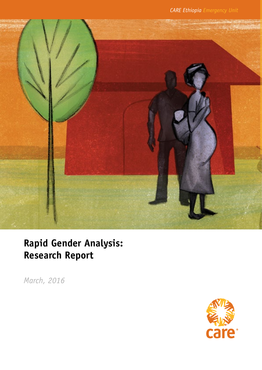

# **Rapid Gender Analysis: Research Report**

*March, 2016*

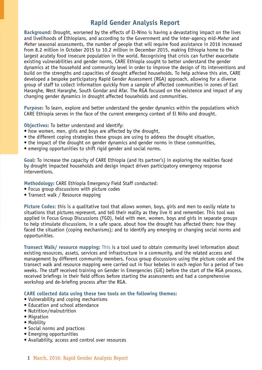# **Rapid Gender Analysis Report**

**Background:** Drought, worsened by the effects of El-Nino is having a devastating impact on the lives and livelihoods of Ethiopians, and according to the Government and the inter-agency mid-*Meher* and *Meher* seasonal assessments, the number of people that will require food assistance in 2016 increased from 8.2 million in October 2015 to 10.2 million in December 2015, making Ethiopia home to the largest acutely food insecure population in the world. Recognising that crisis can further exacerbate existing vulnerabilities and gender norms, CARE Ethiopia sought to better understand the gender dynamics at the household and community level in order to improve the design of its interventions and build on the strengths and capacities of drought affected households. To help achieve this aim, CARE developed a bespoke participatory Rapid Gender Assessment (RGA) approach, allowing for a diverse group of staff to collect information quickly from a sample of affected communities in zones of East Hararghe, West Hararghe, South Gondar and Afar. The RGA focused on the existence and impact of any changing gender dynamics in drought affected households and communities.

**Purpose:** To learn, explore and better understand the gender dynamics within the populations which CARE Ethiopia serves in the face of the current emergency context of El Niño and drought.

**Objectives:** To better understand and identify:

- how women, men, girls and boys are affected by the drought,
- the different coping strategies these groups are using to address the drought situation,
- the impact of the drought on gender dynamics and gender norms in these communities,
- emerging opportunities to shift rigid gender and social norms.

**Goal:** To increase the capacity of CARE Ethiopia (and its partner's) in exploring the realities faced by drought impacted households and design impact driven participatory emergency response interventions.

**Methodology:** CARE Ethiopia Emergency Field Staff conducted:

- Focus group discussions with picture codes
- Transect walk / Resource mapping

**Picture Codes**: this is a qualitative tool that allows women, boys, girls and men to easily relate to situations that pictures represent, and tell their reality as they live it and remember. This tool was applied in Focus Group Discussions (FGD), held with men, women, boys and girls in separate groups to help stimulate discussions, in a safe space, about how the drought has affected them; how they faced the situation (coping mechanisms); and to identify any emerging or changing social norms and opportunities.

**Transect Walk/ resource mapping:** This is a tool used to obtain community level information about existing resources, assets, services and infrastructure in a community, and the related access and management by different community members. Focus group discussions using the picture code and the transect walk and resource mapping were carried out in four kebeles in each region for a period of two weeks. The staff received training on Gender in Emergencies (GiE) before the start of the RGA process, received briefings in their field offices before starting the assessments and had a comprehensive workshop and de-briefing process after the RGA.

**CARE collected data using these two tools on the following themes:**

- Vulnerability and coping mechanisms
- Education and school attendance
- Nutrition/malnutrition
- Migration
- Mobility
- Social norms and practices
- Emerging opportunities
- Availability, access and control over resources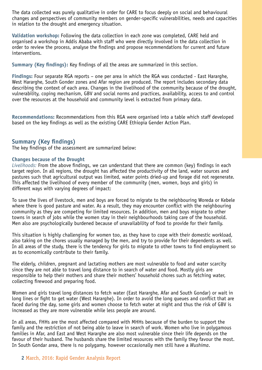The data collected was purely qualitative in order for CARE to focus deeply on social and behavioural changes and perspectives of community members on gender-specific vulnerabilities, needs and capacities in relation to the drought and emergency situation.

**Validation workshop:** Following the data collection in each zone was completed, CARE held and organised a workshop in Addis Ababa with staff who were directly involved in the data collection in order to review the process, analyse the findings and propose recommendations for current and future interventions.

**Summary (Key findings):** Key findings of all the areas are summarized in this section.

**Findings:** Four separate RGA reports – one per area in which the RGA was conducted - East Hararghe, West Hararghe, South Gonder zones and Afar region are produced. The report includes secondary data describing the context of each area. Changes in the livelihood of the community because of the drought, vulnerability, coping mechanism, GBV and social norms and practices, availability, access to and control over the resources at the household and community level is extracted from primary data.

**Recommendations:** Recommendations from this RGA were organised into a table which staff developed based on the key findings as well as the existing CARE Ethiopia Gender Action Plan.

## **Summary (Key findings)**

The key findings of the assessment are summarized below:

#### **Changes because of the Drought**

*Livelihoods:* From the above findings, we can understand that there are common (key) findings in each target region. In all regions, the drought has affected the productivity of the land, water sources and pastures such that agricultural output was limited, water points dried-up and forage did not regenerate. This affected the livelihood of every member of the community (men, women, boys and girls) in different ways with varying degrees of impact:

To save the lives of livestock, men and boys are forced to migrate to the neighbouring Woreda or Kebele where there is good pasture and water. As a result, they may encounter conflict with the neighbouring community as they are competing for limited resources. In addition, men and boys migrate to other towns in search of jobs while the women stay in their neighbourhoods taking care of the household. Men also are psychologically burdened because of unavailability of food to provide for their family.

This situation is highly challenging for women too, as they have to cope with their domestic workload, also taking on the chores usually managed by the men, and try to provide for their dependents as well. In all areas of the study, there is the tendency for girls to migrate to other towns to find employment so as to economically contribute to their family.

The elderly, children, pregnant and lactating mothers are most vulnerable to food and water scarcity since they are not able to travel long distance to in search of water and food. Mostly girls are responsible to help their mothers and share their mothers' household chores such as fetching water, collecting firewood and preparing food.

Women and girls travel long distances to fetch water (East Hararghe, Afar and South Gondar) or wait in long lines or fight to get water (West Hararghe). In order to avoid the long queues and conflict that are faced during the day, some girls and women choose to fetch water at night and thus the risk of GBV is increased as they are more vulnerable while less people are around.

In all areas, FHHs are the most affected compared with MHHs because of the burden to support the family and the restriction of not being able to leave in search of work. Women who live in polygamous families in Afar, and East and West Hararghe are also most vulnerable since their life depends on the favour of their husband. The husbands share the limited resources with the family they favour the most. In South Gondar area, there is no polygamy, however occasionally men still have a *Wushima*.

## **2** March, 2016: Rapid Gender Analysis Report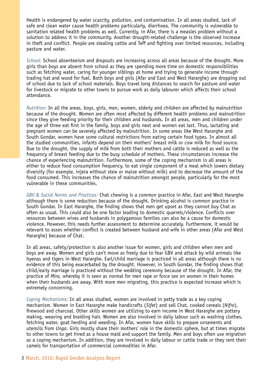Health is endangered by water scarcity, pollution, and contamination. In all areas studied, lack of safe and clean water cause health problems particularly, diarrhoea. The community is vulnerable to sanitation related health problems as well. Currently, in Afar, there is a measles problem without a solution to address it in the community. Another drought-related challenge is the observed increase in theft and conflict. People are stealing cattle and Teff and fighting over limited resources, including pasture and water.

*School:* School absenteeism and dropouts are increasing across all areas because of the drought. More girls than boys are absent from school as they are spending more time on domestic responsibilities such as fetching water, caring for younger siblings at home and trying to generate income through trading hat and wood for fuel. Both boys and girls (Afar and East and West Hararghe) are dropping out of school due to lack of school materials. Boys travel long distances to search for pasture and water for livestock or migrate to other towns to pursue work as daily labourer which affects their school attendance.

*Nutrition:* In all the areas, boys, girls, men, women, elderly and children are affected by malnutrition because of the drought. Women are often most affected by different health problems and malnutrition since they give feeding priority for their children and husbands. In all areas, men and children under the age of three eat first in the family, boys and girls next and women eat last. Thus, lactating and pregnant women can be severely affected by malnutrition. In some areas like West Hararghe and South Gondar, women have some cultural restrictions from eating certain food types. In almost all the studied communities, infants depend on their mothers' breast milk or cow milk for food source. Due to the drought, the supply of milk from both their mothers and cattle is reduced as well as the frequency of breast feeding due to the busy schedule of mothers. These circumstances increase the chance of experiencing malnutrition. Furthermore, some of the coping mechanism in all areas is either to reduce food consumption frequency, to eat single component of a meal which lowers dietary diversity (for example, injera without stew or maize without milk) and to decrease the amount of the food consumed. This increases the chance of malnutrition amongst people, particularly for the most vulnerable in these communities.

*GBV & Social Norms and Practices:* Chat chewing is a common practice in Afar, East and West Hararghe although there is some reduction because of the drought. Drinking alcohol is common practice in South Gondar. In East Hararghe, the finding shows that men get upset as they cannot buy Chat as often as usual. This could also be one factor leading to domestic quarrels/violence. Conflicts over resources between wives and husbands in polygamous families can also be a cause for domestic violence. However, this needs further assessment to determine accurately. Furthermore, it would be relevant to asses whether conflict is created between husband and wife in other areas (Afar and West Hararghe) because of Chat.

In all areas, safety/protection is also another issue for women, girls and children when men and boys are away. Women and girls can't move as freely due to fear GBV and attack by wild animals like hyenas and tigers in West Hararghe. Earl/child marriage is practiced in all areas although there is no evidence of this being exacerbated by the drought. However, in South Gondar, the finding shows that child/early marriage is practiced without the wedding ceremony because of the drought. In Afar, the practice of *Mira,* whereby it is seen as normal for men rape or force sex on women in their homes when their husbands are away. With more men migrating, this practice is expected increase which is extremely concerning.

*Coping Mechanisms:* In all areas studied, women are involved in petty trade as a key coping mechanism. Women in East Hararghe make handicrafts (*Sifet*) and sell Chat, cooked cereals (*Nifro*), firewood and charcoal. Other skills women are utilizing to earn income in West Hararghe are pottery making, weaving and braiding hair. Women are also involved in daily labour such as washing clothes, fetching water, goat herding and weeding. In Afar, women have skills to prepare ornaments and utensils from *Unga*. Girls mostly share their mothers' role in the domestic sphere, but at times migrate to other towns to get hired as a house maid and support the family. Men and boys often use migration as a coping mechanism. In addition, they are involved in daily labour or cattle trade or they rent their camels for transportation of commercial commodities in Afar.

#### **3** March, 2016: Rapid Gender Analysis Report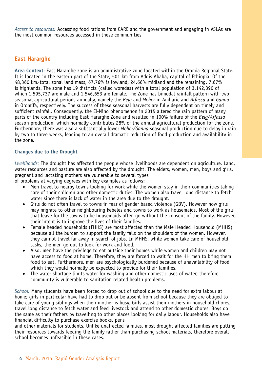*Access to resources:* Accessing food rations from CARE and the government and engaging in VSLAs are the most common resources accessed in these communities

## **East Hararghe**

**Area Context**: East Hararghe zone is an administrative zone located within the Oromia Regional State. It is located in the eastern part of the State, 501 km from Addis Ababa, capital of Ethiopia. Of the 48,360 km2 total zonal land mass, 67.76% is lowland, 24.66% midland and the remaining, 7.67% is highlands. The zone has 19 districts (called woredas) with a total population of 3,142,390 of which 1,595,737 are male and 1,546,653 are female. The Zone has bimodal rainfall pattern with two seasonal agricultural periods annually, namely the *Belg* and *Meher* in Amharic and *Arfassa* and *Ganna* in Oromifa, respectively. The success of these seasonal harvests are fully dependent on timely and sufficient rainfall. Consequently, the El-Nino phenomenon in 2015 altered the rain pattern of many parts of the country including East Hararghe Zone and resulted in 100% failure of the *Belg/Arfassa* season production, which normally contributes 28% of the annual agricultural production for the zone. Furthermore, there was also a substantially lower *Meher/Ganna* seasonal production due to delay in rain by two to three weeks, leading to an overall dramatic reduction of food production and availability in the zone.

## **Changes due to the Drought**

*Livelihoods:* The drought has affected the people whose livelihoods are dependent on agriculture. Land, water resources and pasture are also affected by the drought. The elders, women, men, boys and girls, pregnant and lactating mothers are vulnerable to several types

of problems at varying degrees with key examples as follows:

- Men travel to nearby towns looking for work while the women stay in their communities taking care of their children and other domestic duties. The women also travel long distance to fetch water since there is lack of water in the area due to the drought.
- Girls do not often travel to towns in fear of gender based violence (GBV). However now girls may migrate to other neighbouring kebeles and towns to work as housemaids. Most of the girls that leave for the towns to be housemaids often go without the consent of the family. However, their intent is to improve the lives of their families.
- Female headed households (FHHS) are most affected than the Male Headed Household (MHHS) because all the burden to support the family falls on the shoulders of the women. However, they cannot travel far away in search of jobs. In MHHS, while women take care of household tasks, the men go out to look for work and food.
- Also, men have the privilege to eat outside their homes while women and children may not have access to food at home. Therefore, they are forced to wait for the HH men to bring them food to eat. Furthermore, men are psychologically burdened because of unavailability of food which they would normally be expected to provide for their families.
- The water shortage limits water for washing and other domestic uses of water, therefore community is vulnerable to sanitation related health problems.

*School:* Many students have been forced to drop out of school due to the need for extra labour at home; girls in particular have had to drop out or be absent from school because they are obliged to take care of young siblings when their mother is busy. Girls assist their mothers in household chores, travel long distance to fetch water and feed livestock and attend to other domestic chores. Boys do the same as their fathers by travelling to other places looking for daily labour. Households also have financial difficulty to purchase exercise books, pens

and other materials for students. Unlike unaffected families, most drought affected families are putting their resources towards feeding the family rather than purchasing school materials, therefore overall school becomes unfeasible in these cases.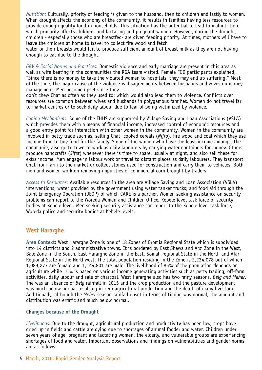*Nutrition:* Culturally, priority of feeding is given to the husband, then to children and lastly to women. When drought affects the economy of the community, it results in families having less resources to provide enough quality food in households. This situation has the potential to lead to malnutrition which primarily affects children, and lactating and pregnant women. However, during the drought, children - especially those who are breastfed- are given feeding priority. At times, mothers will have to leave the children at home to travel to collect fire wood and fetch

water or their breasts would fail to produce sufficient amount of breast milk as they are not having enough to eat due to the drought.

*GBV & Social Norms and Practices:* Domestic violence and early marriage are present in this area as well as wife beating in the communities the RGA team visited. Female FGD participants explained, "Since there is no money to take the violated women to hospitals, they may end up suffering." Most of the time, the major cause of the violence is disagreements between husbands and wives on money management. Men become upset since they

don't chew Chat as often as they used to; which would also lead them to violence. Conflicts over resources are common between wives and husbands in polygamous families. Women do not travel far to market centres or to seek daily labour due to fear of being victimized by violence.

*Coping Mechanisms:* Some of the FHHS are supported by Village Saving and Loan Associations (VSLA) which provides them with a means of financial income, increased control of economic resources and a good entry point for interaction with other women in the community. Women in the community are involved in petty trade such as, selling Chat, cooked cereals (*Nifro*), fire wood and coal which they use income from to buy food for the family. Some of the women who have the least income amongst the community also go to town to work as daily labourers by carrying water containers for money. Others produce handcrafts (*Sifet*) whenever there is time to spare, usually at night, and also sell these for extra income. Men engage in labour work or travel to distant places as daily labourers. They transport Chat from farm to the market or collect stones used for construction and carry them to vehicles. Both men and women work on removing impurities of commercial corn brought by traders.

*Access to Resources:* Available resources in the area are Village Saving and Loan Association (VSLA) interventions; water provided by the government using water tanker trucks; and food aid through the Joint Emergency Operation (JEOP) of which CARE is a partner. Women seeking assistance on security problems can report to the Woreda Women and Children Office, Kebele level task force or security bodies at Kebele level. Men seeking security assistance can report to the Kebele level task force, Woreda police and security bodies at Kebele levels.

## **West Hararghe**

**Area Context:** West Hararghe Zone is one of 18 Zones of Oromia Regional State which is subdivided into 14 districts and 2 administrative towns. It is bordered by East Shewa and Arsi Zone in the West, Bale Zone in the South, East Hararghe Zone in the East, Somali regional State in the North and Afar Regional State in the Northwest. The total population residing in the Zone is 2,234,078 out of which 1,089,277 are female and 1,144,801 are male. The livelihood of 85% of the population depends on agriculture while 15% is based on various income generating activities such as petty trading, off-farm activities, daily labour and sale of charcoal. West Hararghe also has two rainy seasons, *Belg and Meher*. The was an absence of *Belg* rainfall in 2015 and the crop production and the pasture development was much below normal resulting in zero agricultural production and the death of many livestock. Additionally, although the *Meher* season rainfall onset in terms of timing was normal, the amount and distribution was erratic and much below normal.

#### **Changes because of the Drought**

*Livelihoods:* Due to the drought, agricultural production and productivity has been low, crops have dried up in fields and cattle are dying due to shortages of animal fodder and water. Children under seven years of age, pregnant and lactating women, the elderly, and vulnerable groups are experiencing shortages of food and water. Important observations and findings on vulnerabilities and gender norms are as follows:

#### **5** March, 2016: Rapid Gender Analysis Report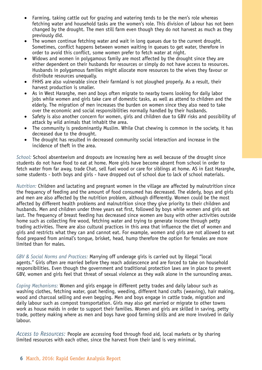- Farming, taking cattle out for grazing and watering tends to be the men's role whereas fetching water and household tasks are the women's role. This division of labour has not been changed by the drought. The men still farm even though they do not harvest as much as they previously did.
- The women continue fetching water and wait in long queues due to the current drought. Sometimes, conflict happens between women waiting in queues to get water, therefore in order to avoid this conflict, some women prefer to fetch water at night.
- Widows and women in polygamous family are most affected by the drought since they are either dependent on their husbands for resources or simply do not have access to resources. Husbands in polygamous families might allocate more resources to the wives they favour or distribute resources unequally.
- FHHS are also vulnerable since their farmland is not ploughed properly. As a result, their harvest production is smaller.
- As in West Hararghe, men and boys often migrate to nearby towns looking for daily labor jobs while women and girls take care of domestic tasks, as well as attend to children and the elderly. The migration of men increases the burden on women since they also need to take over the economic and social responsibilities normally handled by their husbands.
- Safety is also another concern for women, girls and children due to GBV risks and possibility of attack by wild animals that inhabit the area.
- The community is predominantly Muslim. While Chat chewing is common in the society, it has decreased due to the drought.
- The drought has resulted in decreased community social interaction and increase in the incidence of theft in the area.

*School:* School absenteeism and dropouts are increasing here as well because of the drought since students do not have food to eat at home. More girls have become absent from school in order to fetch water from far away, trade Chat, sell fuel wood or care for siblings at home. AS in East Hararghe, some students - both boys and girls - have dropped out of school due to lack of school materials.

*Nutrition:* Children and lactating and pregnant women in the village are affected by malnutrition since the frequency of feeding and the amount of food consumed has decreased. The elderly, boys and girls and men are also affected by the nutrition problem, although differently. Women could be the most affected by different health problems and malnutrition since they give priority to their children and husbands. Men and children under three years eat first, followed by boys while women and girls eat last. The frequency of breast feeding has decreased since women are busy with other activities outside home such as collecting fire wood, fetching water and trying to generate income through petty trading activities. There are also cultural practices in this area that influence the diet of women and girls and restricts what they can and cannot eat. For example, women and girls are not allowed to eat food prepared from animal's tongue, brisket, head, hump therefore the option for females are more limited than for males.

*GBV & Social Norms and Practices:* Marrying off underage girls is carried out by illegal "local agents." Girls often are married before they reach adolescence and are forced to take on household responsibilities. Even though the government and traditional protection laws are in place to prevent GBV, women and girls feel that threat of sexual violence as they walk alone in the surrounding areas.

*Coping Mechanisms:* Women and girls engage in different petty trades and daily labour such as washing clothes, fetching water, goat herding, weeding, different hand crafts (weaving), hair making, wood and charcoal selling and even begging. Men and boys engage in cattle trade, migration and daily labour such as compost transportation. Girls may also get married or migrate to other towns work as house maids in order to support their families. Women and girls are skilled in saving, petty trade, pottery making where as men and boys have good farming skills and are more involved in daily labour.

*Access to Resources:* People are accessing food through food aid, local markets or by sharing limited resources with each other, since the harvest from their land is very minimal.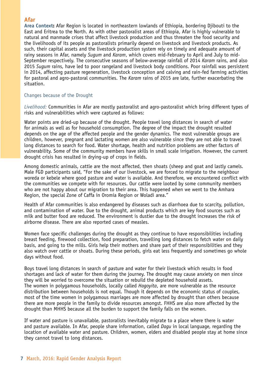## **Afar**

**Area Context:** Afar Region is located in northeastern lowlands of Ethiopia, bordering Djibouti to the East and Eritrea to the North. As with other pastoralist areas of Ethiopia, Afar is highly vulnerable to natural and manmade crises that affect livestock production and thus threaten the food security and the livelihoods of its people as pastoralists primarily depend on livestock and livestock products. As such, their capital assets and the livestock production system rely on timely and adequate amount of rainy seasons in Afar, namely *Sugum* and *Karam*, which covers mid-February to April and July to mid-September respectively. The consecutive seasons of below-average rainfall of 2014 *Karam* rains, and also 2015 *Sugum* rains, have led to poor rangeland and livestock body conditions. Poor rainfall was persistent in 2014, affecting pasture regeneration, livestock conception and calving and rain-fed farming activities for pastoral and agro-pastoral communities. The *Karam* rains of 2015 are late, further exacerbating the situation.

## Changes because of the Drought

*Livelihood:* Communities in Afar are mostly pastoralist and agro-pastoralist which bring different types of risks and vulnerabilities which were captured as follows:

Water points are dried-up because of the drought. People travel long distances in search of water for animals as well as for household consumption. The degree of the impact the drought resulted depends on the age of the affected people and the gender dynamics. The most vulnerable groups are children, however, pregnant and lactating women are also vulnerable since they are not able to travel long distances to search for food. Water shortage, health and nutrition problems are other factors of vulnerability. Some of the community members have skills in small scale irrigation. However, the current drought crisis has resulted in drying-up of crops in fields.

Among domestic animals, cattle are the most affected, then shoats (sheep and goat and lastly camels. Male FGD participants said, "For the sake of our livestock, we are forced to migrate to the neighbour woreda or kebele where good pasture and water is available. And therefore, we encountered conflict with the communities we compete with for resources. Our cattle were looted by some community members who are not happy about our migration to their area. This happened when we went to the Amhara Region, the special Zone of Caffa in Oromia Region or Woladi area."

Health of Afar communities is also endangered by diseases such as diarrhoea due to scarcity, pollution, and contamination of water. Due to the drought, animal products which are key food sources such as milk and butter food are reduced. The environment is dustier due to the drought increases the risk of airborne disease. There are also reported cases of measles.

Women face specific challenges during the drought as they continue to have responsibilities including breast feeding, firewood collection, food preparation, travelling long distances to fetch water on daily basis, and going to the mills. Girls help their mothers and share part of their responsibilities and they also watch over cattle or shoats. During these periods, girls eat less frequently and sometimes go whole days without food.

Boys travel long distances in search of pasture and water for their livestock which results in food shortages and lack of water for them during the journey. The drought may cause anxiety on men since they will be worried to overcome the situation or rebuild the depleted household assets. The women in polygamous households, locally called *Hagoyita*, are more vulnerable as the resource distribution between households is not equal. Though it depends on the economic status of couples, most of the time women in polygamous marriages are more affected by drought than others because there are more people in the family to divide resources amongst. FHHS are also more affected by the drought than MHHS because all the burden to support the family falls on the women.

If water and pasture is unavailable, pastoralists inevitably migrate to a place where there is water and pasture available. In Afar, people share information, called *Dagu* in local language, regarding the location of available water and pasture. Children, women, elders and disabled people stay at home since they cannot travel to long distances.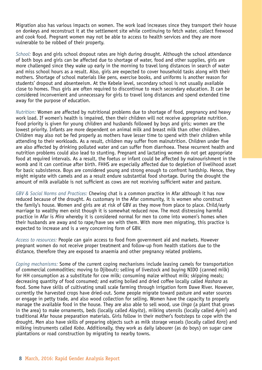Migration also has various impacts on women. The work load increases since they transport their house on donkeys and reconstruct it at the settlement site while continuing to fetch water, collect firewood and cook food. Pregnant women may not be able to access to health services and they are more vulnerable to be robbed of their property.

*School:* Boys and girls school dropout rates are high during drought. Although the school attendance of both boys and girls can be affected due to shortage of water, food and other supplies, girls are more challenged since they wake up early in the morning to travel long distances in search of water and miss school hours as a result. Also, girls are expected to cover household tasks along with their mothers. Shortage of school materials like pens, exercise books, and uniforms is another reason for students' dropout and absenteeism. At the Kebele level, secondary school is not usually available close to homes. Thus girls are often required to discontinue to reach secondary education. It can be considered inconvenient and unnecessary for girls to travel long distances and spend extended time away for the purpose of education.

*Nutrition:* Women are affected by nutritional problems due to shortage of food, pregnancy and heavy work load. If women's health is impaired, then their children will not receive appropriate nutrition. Food priority is given for young children and husbands followed by boys and girls; women are the lowest priority. Infants are more dependent on animal milk and breast milk than other children. Children may also not be fed properly as mothers have lesser time to spend with their children while attending to their workloads. As a result, children may suffer from malnutrition. Children under five are also affected by drinking polluted water and can suffer from diarrhoea. These recurrent health and nutrition problems could also lead to stunting. Pregnant and lactating women do not get appropriate food at required intervals. As a result, the foetus or infant could be affected by malnourishment in the womb and it can continue after birth. FHHS are especially affected due to depletion of livelihood asset for basic subsistence. Boys are considered young and strong enough to confront hardship. Hence, they might migrate with camels and as a result endure substantial food shortage. During the drought the amount of milk available is not sufficient as cows are not receiving sufficient water and pasture.

*GBV & Social Norms and Practices:* Chewing chat is a common practice in Afar although it has now reduced because of the drought. As customary in the Afar community, it is women who construct the family's house. Women and girls are at risk of GBV as they move from place to place. Child/early marriage to wealthy men exist though it is somewhat reduced now. The most distressing harmful practice in Afar is *Mira* whereby it is considered normal for men to come into women's homes when their husbands are away and to rape/have sex with them. With more men migrating, this practice is expected to increase and is a very concerning form of GBV.

*Access to resources:* People can gain access to food from government aid and markets. However pregnant women do not receive proper treatment and follow-up from health stations due to the distance, therefore they are exposed to anaemia and other pregnancy related problems.

*Coping mechanisms:* Some of the current coping mechanisms include leasing camels for transportation of commercial commodities; moving to Djibouti; selling of livestock and buying NIDO (canned milk) for HH consumption as a substitute for cow milk; consuming maize without milk; skipping meals; decreasing quantity of food consumed; and eating boiled and dried coffee locally called *Hashara* as food. Some have skills of cultivating small scale farming through irrigation form Dawe River. However, currently the harvested crops have dried-out. Some people migrate toward pasture and water sources or engage in petty trade, and also wood collection for selling. Women have the capacity to properly manage the available food in the house. They are also able to sell wood, use *Unga* (a plant that grows in the area) to make ornaments, beds (locally called *Aloyita*), milking utensils (locally called *Ayini*) and traditional Afar house preparation materials. Girls follow in their mother's footsteps to cope with the drought. Men also have skills of preparing objects such as milk storage vessels (locally called *Kora*) and milking instruments called *Koba*. Additionally, they work as daily labourer (as do boys) on sugar cane plantations or road construction by migrating to nearby towns.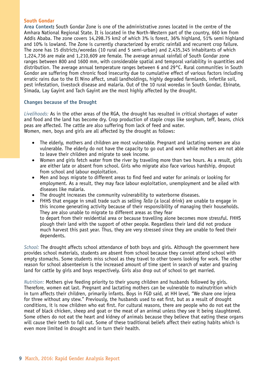## **South Gondar**

**Area Context:** South Gondar Zone is one of the administrative zones located in the centre of the Amhara National Regional State. It is located in the North-Western part of the country, 660 km from Addis Ababa. The zone covers 14,298.75 km2 of which 3% is forest, 36% highland, 51% semi highland and 10% is lowland. The Zone is currently characterized by erratic rainfall and recurrent crop failure. The zone has 15 districts/woredas (10 rural and 5 semi-urban) and 2,435,345 inhabitants of which 1,224,736 are male and 1,210,609 are female. The average annual rainfall of South Gondar zone ranges between 800 and 1600 mm, with considerable spatial and temporal variability in quantities and distribution. The average annual temperature ranges between 6 and 29°C. Rural communities in South Gondor are suffering from chronic food insecurity due to cumulative effect of various factors including erratic rains due to the El Nino affect, small landholdings, highly degraded farmlands, infertile soil, pest infestation, livestock disease and malaria. Out of the 10 rural woredas in South Gondar, Ebinate, Simada, Lay Gayint and Tach Gayint are the most highly affected by the drought.

## **Changes because of the Drought**

*Livelihoods:* As in the other areas of the RGA, the drought has resulted in critical shortages of water and food and the land has become dry. Crop production of staple crops like sorghum, teff, beans, chick peas are affected. The cattle are also suffering from lack of feed and water. Women, men, boys and girls are all affected by the drought as follows:

- The elderly, mothers and children are most vulnerable. Pregnant and lactating women are also vulnerable. The elderly do not have the capacity to go out and work while mothers are not able to leave their children and migrate to seek income.
- Women and girls fetch water from the river by traveling more than two hours. As a result, girls are either late or absent from school. Girls who migrate also face various hardship, dropout from school and labour exploitation.
- Men and boys migrate to different areas to find feed and water for animals or looking for employment. As a result, they may face labour exploitation, unemployment and be ailed with diseases like malaria.
- The drought increases the community vulnerability to waterborne diseases.
- • FHHS that engage in small trade such as selling *Tella* (a local drink) are unable to engage in this income generating activity because of their responsibility of managing their households. They are also unable to migrate to different areas as they fear to depart from their residential area or because travelling alone becomes more stressful. FHHS plough their land with the support of other people. Regardless their land did not produce much harvest this past year. Thus, they are very stressed since they are unable to feed their dependents.

*School:* The drought affects school attendance of both boys and girls. Although the government here provides school materials, students are absent from school because they cannot attend school with empty stomachs. Some students miss school as they travel to other towns looking for work. The other reason for school absenteeism is the increased amount of time spent in search of water and grazing land for cattle by girls and boys respectively. Girls also drop out of school to get married.

*Nutrition:* Mothers give feeding priority to their young children and husbands followed by girls. Therefore, women eat last. Pregnant and lactating mothers can be vulnerable to malnutrition which in turn affects their children, primarily infants. Boys in FGD said, at HH level, "We share one injera for three without any stew." Previously, the husbands used to eat first, but as a result of drought conditions, it is now children who eat first. For cultural reasons, there are people who do not eat the meat of black chicken, sheep and goat or the meat of an animal unless they see it being slaughtered. Some others do not eat the heart and kidney of animals because they believe that eating these organs will cause their teeth to fall out. Some of these traditional beliefs affect their eating habits which is even more limited in drought and in turn their health.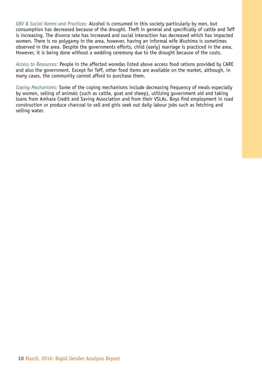*GBV & Social Norms and Practices:* Alcohol is consumed in this society particularly by men, but consumption has decreased because of the drought. Theft in general and specifically of cattle and Teff is increasing. The divorce rate has increased and social interaction has decreased which has impacted women. There is no polygamy in the area, however, having an informal wife *Wushim*a is sometimes observed in the area. Despite the governments efforts, child (early) marriage is practiced in the area. However, it is being done without a wedding ceremony due to the drought because of the costs.

*Access to Resources:* People in the affected woredas listed above access food rations provided by CARE and also the government. Except for Teff, other food items are available on the market, although, in many cases, the community cannot afford to purchase them.

*Coping Mechanisms:* Some of the coping mechanisms include decreasing frequency of meals especially by women, selling of animals (such as cattle, goat and sheep), utilizing government aid and taking loans from Amhara Credit and Saving Association and from their VSLAs. Boys find employment in road construction or produce charcoal to sell and girls seek out daily labour jobs such as fetching and selling water.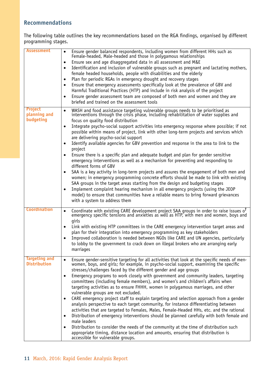## **Recommendations**

The following table outlines the key recommendations based on the RGA findings, organised by different programming stages.

| <b>Assessment</b>                           | Ensure gender balanced respondents, including women from different HHs such as<br>$\bullet$<br>Female-headed, Male-headed and those in polygamous relationships<br>Ensure sex and age disaggregated data in all assessment and M&E<br>$\bullet$<br>Identification and inclusion of vulnerable groups such as pregnant and lactating mothers,<br>٠<br>female headed households, people with disabilities and the elderly<br>Plan for periodic RGAs in emergency drought and recovery stages<br>$\bullet$<br>Ensure that emergency assessments specifically look at the prevalence of GBV and<br>٠<br>Harmful Traditional Practices (HTP) and include in risk analysis of the project<br>Ensure gender assessment team are composed of both men and women and they are<br>$\bullet$<br>briefed and trained on the assessment tools                                                                                                                                                                                                                                                                                                                                                                                                                                                                                   |
|---------------------------------------------|--------------------------------------------------------------------------------------------------------------------------------------------------------------------------------------------------------------------------------------------------------------------------------------------------------------------------------------------------------------------------------------------------------------------------------------------------------------------------------------------------------------------------------------------------------------------------------------------------------------------------------------------------------------------------------------------------------------------------------------------------------------------------------------------------------------------------------------------------------------------------------------------------------------------------------------------------------------------------------------------------------------------------------------------------------------------------------------------------------------------------------------------------------------------------------------------------------------------------------------------------------------------------------------------------------------------|
| <b>Project</b><br>planning and<br>budgeting | WASH and food assistance targeting vulnerable groups needs to be prioritised as<br>$\bullet$<br>interventions through the crisis phase, including rehabilitation of water supplies and<br>focus on quality food distribution<br>Integrate psycho-social support activities into emergency response where possible; if not<br>$\bullet$<br>possible within means of project, link with other long-term projects and services which<br>are delivering psycho-social support<br>Identify available agencies for GBV prevention and response in the area to link to the<br>$\bullet$<br>project<br>Ensure there is a specific plan and adequate budget and plan for gender sensitive<br>$\bullet$<br>emergency interventions as well as a mechanism for preventing and responding to<br>different forms of GBV<br>SAA is a key activity in long-term projects and assures the engagement of both men and<br>$\bullet$<br>women; in emergency programming concrete efforts should be made to link with existing<br>SAA groups in the target areas starting from the design and budgeting stages<br>Implement complaint hearing mechanism in all emergency projects (using the JEOP<br>$\bullet$<br>model) to ensure that communities have a reliable means to bring forward grievances<br>with a system to address them |
| <b>Coordination</b>                         | Coordinate with existing CARE development project SAA groups in order to raise issues of<br>$\bullet$<br>emergency specific tensions and anxieties as well as HTP, with men and women, boys and<br>qirls<br>Link with existing HTP committees in the CARE emergency intervention target areas and<br>٠<br>plan for their integration into emergency programming as key stakeholders<br>Improved collaboration is needed between NGOs like CARE and UN agencies, particularly<br>$\bullet$<br>to lobby to the government to crack down on illegal brokers who are arranging early<br>marriages                                                                                                                                                                                                                                                                                                                                                                                                                                                                                                                                                                                                                                                                                                                      |
| <b>Targeting and</b><br><b>Distribution</b> | Ensure gender-sensitive targeting for all activities that look at the specific needs of menwomen, boys, and girls; for example, in psycho-social support, examining the specific<br>$\bullet$<br>stresses/challenges faced by the different gender and age groups<br>Emergency programs to work closely with government and community leaders, targeting<br>$\bullet$<br>committees (including female members), and women's and children's affairs when<br>targeting activities as to ensure FHHH, women in polygamous marriages, and other<br>vulnerable groups are not excluded.<br>CARE emergency project staff to explain targeting and selection approach from a gender<br>$\bullet$<br>analysis perspective to each target community, for instance differentiating between<br>activities that are targeted to Females, Males, Female-Headed HHs, etc. and the rational<br>Distribution of emergency interventions should be planned carefully with both female and<br>$\bullet$<br>male leaders<br>Distribution to consider the needs of the community at the time of distribution such<br>٠<br>appropriate timing, distance location and amounts, ensuring that distribution is<br>accessible for vulnerable groups.                                                                                        |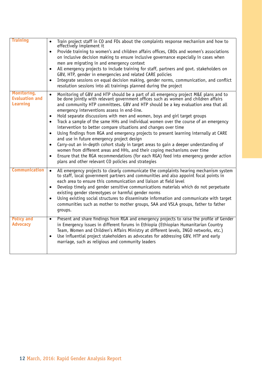| <b>Training</b>       | Train project staff in CO and FOs about the complaints response mechanism and how to<br>$\bullet$<br>effectively implement it                                                  |
|-----------------------|--------------------------------------------------------------------------------------------------------------------------------------------------------------------------------|
|                       | Provide training to women's and children affairs offices, CBOs and women's associations<br>$\bullet$                                                                           |
|                       | on inclusive decision making to ensure inclusive governance especially in cases when                                                                                           |
|                       | men are migrating in and emergency context                                                                                                                                     |
|                       | All emergency projects to include training for staff, partners and govt. stakeholders on                                                                                       |
|                       | GBV, HTP, gender in emergencies and related CARE policies                                                                                                                      |
|                       | Integrate sessions on equal decision making, gender norms, communication, and conflict<br>$\bullet$                                                                            |
|                       | resolution sessions into all trainings planned during the project                                                                                                              |
| Monitoring,           | Monitoring of GBV and HTP should be a part of all emergency project M&E plans and to<br>$\bullet$                                                                              |
| <b>Evaluation and</b> | be done jointly with relevant government offices such as women and children affairs                                                                                            |
| <b>Learning</b>       | and community HTP committees. GBV and HTP should be a key evaluation area that all                                                                                             |
|                       | emergency interventions assess in end-line.                                                                                                                                    |
|                       | Hold separate discussions with men and women, boys and girl target groups<br>$\bullet$                                                                                         |
|                       | Track a sample of the same HHs and individual women over the course of an emergency<br>$\bullet$                                                                               |
|                       | intervention to better compare situations and changes over time                                                                                                                |
|                       | Using findings from RGA and emergency projects to present learning internally at CARE<br>$\bullet$                                                                             |
|                       | and use in future emergency project design                                                                                                                                     |
|                       | Carry-out an in-depth cohort study in target areas to gain a deeper understanding of<br>$\bullet$<br>women from different areas and HHs, and their coping mechanisms over time |
|                       | Ensure that the RGA recommendations (for each RGA) feed into emergency gender action                                                                                           |
|                       | $\bullet$<br>plans and other relevant CO policies and strategies                                                                                                               |
|                       |                                                                                                                                                                                |
| Communication         | All emergency projects to clearly communicate the complaints hearing mechanism system<br>$\bullet$                                                                             |
|                       | to staff, local government partners and communities and also appoint focal points in                                                                                           |
|                       | each area to ensure this communication and liaison at field level                                                                                                              |
|                       | Develop timely and gender sensitive communications materials which do not perpetuate<br>existing gender stereotypes or harmful gender norms                                    |
|                       | Using existing social structures to disseminate information and communicate with target<br>$\bullet$                                                                           |
|                       | communities such as mother to mother groups, SAA and VSLA groups, father to father                                                                                             |
|                       | groups.                                                                                                                                                                        |
|                       |                                                                                                                                                                                |
| <b>Policy and</b>     | Present and share findings from RGA and emergency projects to raise the profile of Gender<br>$\bullet$                                                                         |
| <b>Advocacy</b>       | in Emergency issues in different forums in Ethiopia (Ethiopian Humanitarian Country                                                                                            |
|                       | Team, Women and Children's Affairs Ministry at different levels, INGO networks, etc.)                                                                                          |
|                       | Use influential project stakeholders as advocates for addressing GBV, HTP and early<br>$\bullet$                                                                               |
|                       | marriage, such as religious and community leaders                                                                                                                              |
|                       |                                                                                                                                                                                |